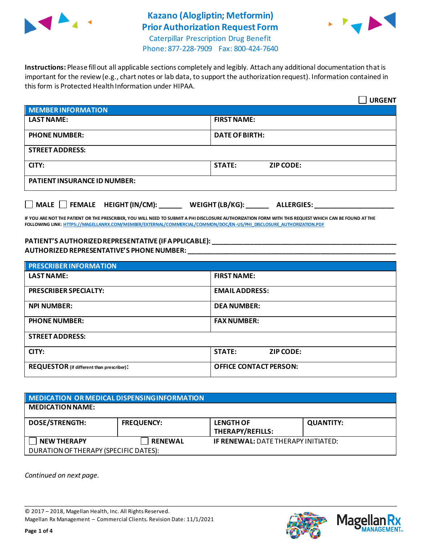

# **Kazano (Alogliptin; Metformin) Prior Authorization Request Form**



Caterpillar Prescription Drug Benefit Phone: 877-228-7909 Fax: 800-424-7640

**Instructions:** Please fill out all applicable sections completely and legibly. Attach any additional documentation that is important for the review (e.g., chart notes or lab data, to support the authorization request). Information contained in this form is Protected Health Information under HIPAA.

|                                     | <b>URGENT</b>                        |  |
|-------------------------------------|--------------------------------------|--|
| <b>MEMBER INFORMATION</b>           |                                      |  |
| <b>LAST NAME:</b>                   | <b>FIRST NAME:</b>                   |  |
| <b>PHONE NUMBER:</b>                | <b>DATE OF BIRTH:</b>                |  |
| <b>STREET ADDRESS:</b>              |                                      |  |
| CITY:                               | <b>STATE:</b><br><b>ZIP CODE:</b>    |  |
| <b>PATIENT INSURANCE ID NUMBER:</b> |                                      |  |
| MALE FEMALE HEIGHT (IN/CM):         | WEIGHT (LB/KG):<br><b>ALLERGIES:</b> |  |

**IF YOU ARE NOT THE PATIENT OR THE PRESCRIBER, YOU WILL NEED TO SUBMIT A PHI DISCLOSURE AUTHORIZATION FORM WITH THIS REQUEST WHICH CAN BE FOUND AT THE FOLLOWING LINK[: HTTPS://MAGELLANRX.COM/MEMBER/EXTERNAL/COMMERCIAL/COMMON/DOC/EN-US/PHI\\_DISCLOSURE\\_AUTHORIZATION.PDF](https://magellanrx.com/member/external/commercial/common/doc/en-us/PHI_Disclosure_Authorization.pdf)**

#### **PATIENT'S AUTHORIZED REPRESENTATIVE (IF APPLICABLE): \_\_\_\_\_\_\_\_\_\_\_\_\_\_\_\_\_\_\_\_\_\_\_\_\_\_\_\_\_\_\_\_\_\_\_\_\_\_\_\_\_\_\_\_\_\_\_\_\_ AUTHORIZED REPRESENTATIVE'S PHONE NUMBER: \_\_\_\_\_\_\_\_\_\_\_\_\_\_\_\_\_\_\_\_\_\_\_\_\_\_\_\_\_\_\_\_\_\_\_\_\_\_\_\_\_\_\_\_\_\_\_\_\_\_\_\_\_\_\_**

| <b>PRESCRIBER INFORMATION</b>             |                               |  |
|-------------------------------------------|-------------------------------|--|
| <b>LAST NAME:</b>                         | <b>FIRST NAME:</b>            |  |
| <b>PRESCRIBER SPECIALTY:</b>              | <b>EMAIL ADDRESS:</b>         |  |
| <b>NPI NUMBER:</b>                        | <b>DEA NUMBER:</b>            |  |
| <b>PHONE NUMBER:</b>                      | <b>FAX NUMBER:</b>            |  |
| <b>STREET ADDRESS:</b>                    |                               |  |
| CITY:                                     | <b>STATE:</b><br>ZIP CODE:    |  |
| REQUESTOR (if different than prescriber): | <b>OFFICE CONTACT PERSON:</b> |  |

| MEDICATION OR MEDICAL DISPENSING INFORMATION |                   |                                            |                  |  |  |
|----------------------------------------------|-------------------|--------------------------------------------|------------------|--|--|
| <b>MEDICATION NAME:</b>                      |                   |                                            |                  |  |  |
| <b>DOSE/STRENGTH:</b>                        | <b>FREQUENCY:</b> | <b>LENGTH OF</b><br>THERAPY/REFILLS:       | <b>QUANTITY:</b> |  |  |
| <b>NEW THERAPY</b>                           | <b>RENEWAL</b>    | <b>IF RENEWAL: DATE THERAPY INITIATED:</b> |                  |  |  |
| DURATION OF THERAPY (SPECIFIC DATES):        |                   |                                            |                  |  |  |

*Continued on next page.*

© 2017 – 2018, Magellan Health, Inc. All Rights Reserved. Magellan Rx Management – Commercial Clients. Revision Date: 11/1/2021



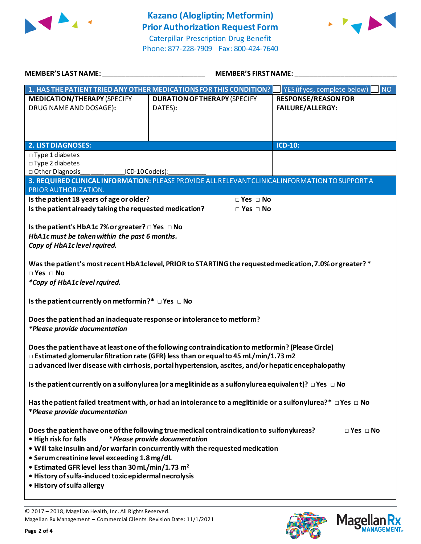



Caterpillar Prescription Drug Benefit Phone: 877-228-7909 Fax: 800-424-7640 **MEMBER'S LAST NAME:** \_\_\_\_\_\_\_\_\_\_\_\_\_\_\_\_\_\_\_\_\_\_\_\_\_\_\_ **MEMBER'S FIRST NAME:** \_\_\_\_\_\_\_\_\_\_\_\_\_\_\_\_\_\_\_\_\_\_\_\_\_\_\_

| IVILIVIDLI\ JLAJI IVAIVIL.<br><b>INILIMIDEN JEINJI INAINIL.</b>                                                                                      |                                                                                                          |                                           |  |  |
|------------------------------------------------------------------------------------------------------------------------------------------------------|----------------------------------------------------------------------------------------------------------|-------------------------------------------|--|--|
|                                                                                                                                                      | 1. HAS THE PATIENT TRIED ANY OTHER MEDICATIONS FOR THIS CONDITION?                                       | YES (if yes, complete below)<br><b>NO</b> |  |  |
| <b>MEDICATION/THERAPY (SPECIFY</b>                                                                                                                   | <b>DURATION OF THERAPY (SPECIFY</b>                                                                      | <b>RESPONSE/REASON FOR</b>                |  |  |
| DRUG NAME AND DOSAGE):                                                                                                                               | DATES):                                                                                                  | FAILURE/ALLERGY:                          |  |  |
|                                                                                                                                                      |                                                                                                          |                                           |  |  |
|                                                                                                                                                      |                                                                                                          |                                           |  |  |
|                                                                                                                                                      |                                                                                                          |                                           |  |  |
| <b>2. LIST DIAGNOSES:</b>                                                                                                                            |                                                                                                          | <b>ICD-10:</b>                            |  |  |
| $\square$ Type 1 diabetes                                                                                                                            |                                                                                                          |                                           |  |  |
| $\square$ Type 2 diabetes                                                                                                                            |                                                                                                          |                                           |  |  |
| □ Other Diagnosis<br>ICD-10 Code(s):                                                                                                                 |                                                                                                          |                                           |  |  |
|                                                                                                                                                      | 3. REQUIRED CLINICAL INFORMATION: PLEASE PROVIDE ALL RELEVANT CLINICAL INFORMATION TO SUPPORT A          |                                           |  |  |
| PRIOR AUTHORIZATION.                                                                                                                                 |                                                                                                          |                                           |  |  |
| Is the patient 18 years of age or older?                                                                                                             | $\Box$ Yes $\Box$ No                                                                                     |                                           |  |  |
| Is the patient already taking the requested medication?                                                                                              | $\Box$ Yes $\Box$ No                                                                                     |                                           |  |  |
|                                                                                                                                                      |                                                                                                          |                                           |  |  |
| Is the patient's HbA1c 7% or greater? $\Box$ Yes $\Box$ No                                                                                           |                                                                                                          |                                           |  |  |
| HbA1c must be taken within the past 6 months.                                                                                                        |                                                                                                          |                                           |  |  |
| Copy of HbA1c level rquired.                                                                                                                         |                                                                                                          |                                           |  |  |
|                                                                                                                                                      |                                                                                                          |                                           |  |  |
|                                                                                                                                                      | Was the patient's most recent HbA1clevel, PRIOR to STARTING the requested medication, 7.0% or greater? * |                                           |  |  |
| $\Box$ Yes $\Box$ No                                                                                                                                 |                                                                                                          |                                           |  |  |
| *Copy of HbA1c level rquired.                                                                                                                        |                                                                                                          |                                           |  |  |
|                                                                                                                                                      |                                                                                                          |                                           |  |  |
| Is the patient currently on metformin?* $\Box$ Yes $\Box$ No                                                                                         |                                                                                                          |                                           |  |  |
|                                                                                                                                                      |                                                                                                          |                                           |  |  |
| Does the patient had an inadequate response or intolerance to metform?                                                                               |                                                                                                          |                                           |  |  |
| <i>*Please provide documentation</i>                                                                                                                 |                                                                                                          |                                           |  |  |
|                                                                                                                                                      |                                                                                                          |                                           |  |  |
|                                                                                                                                                      | Does the patient have at least one of the following contraindication to metformin? (Please Circle)       |                                           |  |  |
| $\Box$ Estimated glomerular filtration rate (GFR) less than or equal to 45 mL/min/1.73 m2                                                            |                                                                                                          |                                           |  |  |
| $\Box$ advanced liver disease with cirrhosis, portal hypertension, ascites, and/or hepatic encephalopathy                                            |                                                                                                          |                                           |  |  |
|                                                                                                                                                      |                                                                                                          |                                           |  |  |
| Is the patient currently on a sulfonylurea (or a meglitinide as a sulfonylurea equivalent)? $\Box$ Yes $\Box$ No                                     |                                                                                                          |                                           |  |  |
|                                                                                                                                                      |                                                                                                          |                                           |  |  |
| Has the patient failed treatment with, or had an intolerance to a meglitinide or a sulfonylurea?* $\Box$ Yes $\Box$ No                               |                                                                                                          |                                           |  |  |
| *Please provide documentation                                                                                                                        |                                                                                                          |                                           |  |  |
|                                                                                                                                                      |                                                                                                          |                                           |  |  |
|                                                                                                                                                      |                                                                                                          | $\Box$ Yes $\Box$ No                      |  |  |
| Does the patient have one of the following true medical contraindication to sulfonylureas?<br>• High risk for falls<br>*Please provide documentation |                                                                                                          |                                           |  |  |
| . Will take insulin and/or warfarin concurrently with the requested medication                                                                       |                                                                                                          |                                           |  |  |
| • Serum creatinine level exceeding 1.8 mg/dL                                                                                                         |                                                                                                          |                                           |  |  |
| • Estimated GFR level less than 30 mL/min/1.73 m <sup>2</sup>                                                                                        |                                                                                                          |                                           |  |  |
| · History of sulfa-induced toxic epidermal necrolysis                                                                                                |                                                                                                          |                                           |  |  |
| • History of sulfa allergy                                                                                                                           |                                                                                                          |                                           |  |  |
|                                                                                                                                                      |                                                                                                          |                                           |  |  |

© 2017 – 2018, Magellan Health, Inc. All Rights Reserved. Magellan Rx Management – Commercial Clients. Revision Date: 11/1/2021



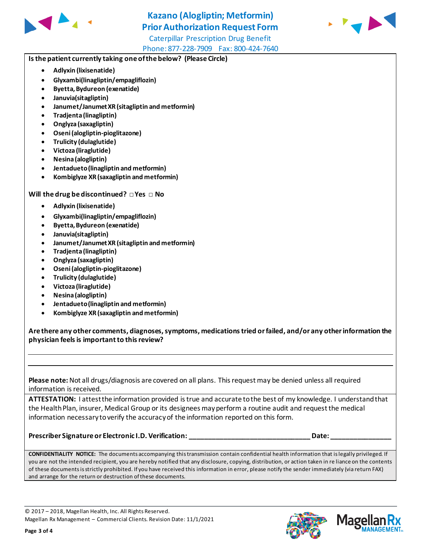

## **Kazano (Alogliptin; Metformin) Prior Authorization Request Form**



Caterpillar Prescription Drug Benefit Phone: 877-228-7909 Fax: 800-424-7640

### **Is the patient currently taking one of the below? (Please Circle)**

- **Adlyxin (lixisenatide)**
- **Glyxambi(linagliptin/empagliflozin)**
- **Byetta, Bydureon (exenatide)**
- **Januvia(sitagliptin)**
- **Janumet/Janumet XR (sitagliptin and metformin)**
- **Tradjenta (linagliptin)**
- **Onglyza (saxagliptin)**
- **Oseni (alogliptin-pioglitazone)**
- **Trulicity (dulaglutide)**
- **Victoza (liraglutide)**
- **Nesina (alogliptin)**
- **Jentadueto(linagliptin and metformin)**
- **Kombiglyze XR (saxagliptin and metformin)**

#### **Will the drug be discontinued? □ Yes □ No**

- **Adlyxin (lixisenatide)**
- **Glyxambi(linagliptin/empagliflozin)**
- **Byetta, Bydureon (exenatide)**
- **Januvia(sitagliptin)**
- **Janumet/Janumet XR (sitagliptin and metformin)**
- **Tradjenta (linagliptin)**
- **Onglyza (saxagliptin)**
- **Oseni (alogliptin-pioglitazone)**
- **Trulicity (dulaglutide)**
- **Victoza (liraglutide)**
- **Nesina (alogliptin)**
- **Jentadueto (linagliptin and metformin)**
- **Kombiglyze XR (saxagliptin and metformin)**

**Are there any other comments, diagnoses, symptoms, medications tried or failed, and/or any other information the physician feels is important to this review?**

**Please note:** Not all drugs/diagnosis are covered on all plans. This request may be denied unless all required information is received.

ATTESTATION: I attest the information provided is true and accurate to the best of my knowledge. I understand that the Health Plan, insurer, Medical Group or its designees may perform a routine audit and request the medical information necessary to verify the accuracy of the information reported on this form.

**Prescriber Signature or Electronic I.D. Verification: \_\_\_\_\_\_\_\_\_\_\_\_\_\_\_\_\_\_\_\_\_\_\_\_\_\_\_\_\_\_\_\_ Date: \_\_\_\_\_\_\_\_\_\_\_\_\_\_\_\_**

**CONFIDENTIALITY NOTICE:** The documents accompanying this transmission contain confidential health information that is legally privileged. If you are not the intended recipient, you are hereby notified that any disclosure, copying, distribution, or action taken in re liance on the contents of these documents is strictly prohibited. If you have received this information in error, please notify the sender immediately (via return FAX) and arrange for the return or destruction of these documents.